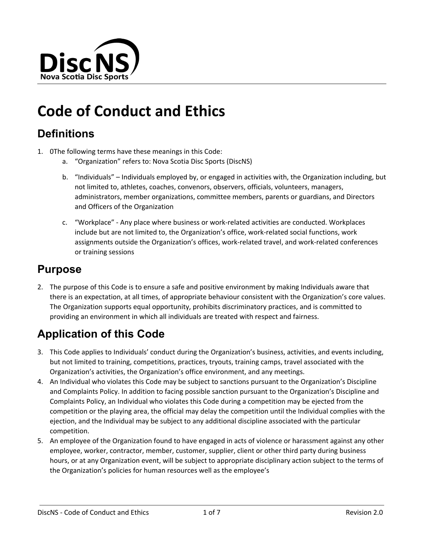

# **Code of Conduct and Ethics**

## **Definitions**

- 1. 0The following terms have these meanings in this Code:
	- a. "Organization" refers to: Nova Scotia Disc Sports (DiscNS)
	- b. "Individuals" Individuals employed by, or engaged in activities with, the Organization including, but not limited to, athletes, coaches, convenors, observers, officials, volunteers, managers, administrators, member organizations, committee members, parents or guardians, and Directors and Officers of the Organization
	- c. "Workplace" Any place where business or work-related activities are conducted. Workplaces include but are not limited to, the Organization's office, work-related social functions, work assignments outside the Organization's offices, work-related travel, and work-related conferences or training sessions

#### **Purpose**

2. The purpose of this Code is to ensure a safe and positive environment by making Individuals aware that there is an expectation, at all times, of appropriate behaviour consistent with the Organization's core values. The Organization supports equal opportunity, prohibits discriminatory practices, and is committed to providing an environment in which all individuals are treated with respect and fairness.

# **Application of this Code**

- 3. This Code applies to Individuals' conduct during the Organization's business, activities, and events including, but not limited to training, competitions, practices, tryouts, training camps, travel associated with the Organization's activities, the Organization's office environment, and any meetings.
- 4. An Individual who violates this Code may be subject to sanctions pursuant to the Organization's Discipline and Complaints Policy. In addition to facing possible sanction pursuant to the Organization's Discipline and Complaints Policy, an Individual who violates this Code during a competition may be ejected from the competition or the playing area, the official may delay the competition until the Individual complies with the ejection, and the Individual may be subject to any additional discipline associated with the particular competition.
- 5. An employee of the Organization found to have engaged in acts of violence or harassment against any other employee, worker, contractor, member, customer, supplier, client or other third party during business hours, or at any Organization event, will be subject to appropriate disciplinary action subject to the terms of the Organization's policies for human resources well as the employee's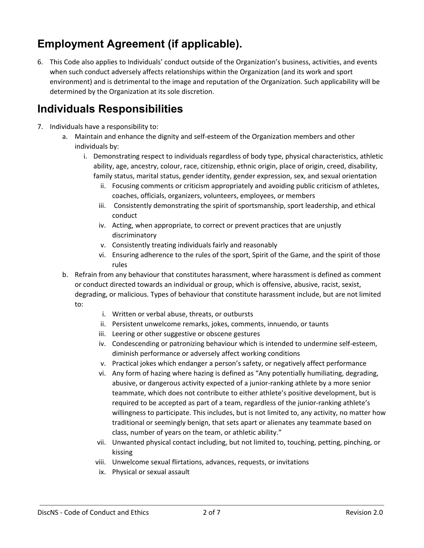# **Employment Agreement (if applicable).**

6. This Code also applies to Individuals' conduct outside of the Organization's business, activities, and events when such conduct adversely affects relationships within the Organization (and its work and sport environment) and is detrimental to the image and reputation of the Organization. Such applicability will be determined by the Organization at its sole discretion.

# **Individuals Responsibilities**

- 7. Individuals have a responsibility to:
	- a. Maintain and enhance the dignity and self-esteem of the Organization members and other individuals by:
		- i. Demonstrating respect to individuals regardless of body type, physical characteristics, athletic ability, age, ancestry, colour, race, citizenship, ethnic origin, place of origin, creed, disability, family status, marital status, gender identity, gender expression, sex, and sexual orientation
			- ii. Focusing comments or criticism appropriately and avoiding public criticism of athletes, coaches, officials, organizers, volunteers, employees, or members
			- iii. Consistently demonstrating the spirit of sportsmanship, sport leadership, and ethical conduct
			- iv. Acting, when appropriate, to correct or prevent practices that are unjustly discriminatory
			- v. Consistently treating individuals fairly and reasonably
			- vi. Ensuring adherence to the rules of the sport, Spirit of the Game, and the spirit of those rules
	- b. Refrain from any behaviour that constitutes harassment, where harassment is defined as comment or conduct directed towards an individual or group, which is offensive, abusive, racist, sexist, degrading, or malicious. Types of behaviour that constitute harassment include, but are not limited to:
		- i. Written or verbal abuse, threats, or outbursts
		- ii. Persistent unwelcome remarks, jokes, comments, innuendo, or taunts
		- iii. Leering or other suggestive or obscene gestures
		- iv. Condescending or patronizing behaviour which is intended to undermine self-esteem, diminish performance or adversely affect working conditions
		- v. Practical jokes which endanger a person's safety, or negatively affect performance
		- vi. Any form of hazing where hazing is defined as "Any potentially humiliating, degrading, abusive, or dangerous activity expected of a junior-ranking athlete by a more senior teammate, which does not contribute to either athlete's positive development, but is required to be accepted as part of a team, regardless of the junior-ranking athlete's willingness to participate. This includes, but is not limited to, any activity, no matter how traditional or seemingly benign, that sets apart or alienates any teammate based on class, number of years on the team, or athletic ability."
		- vii. Unwanted physical contact including, but not limited to, touching, petting, pinching, or kissing
		- viii. Unwelcome sexual flirtations, advances, requests, or invitations
		- ix. Physical or sexual assault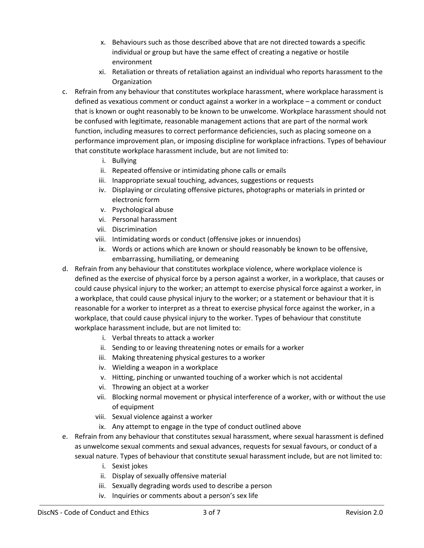- x. Behaviours such as those described above that are not directed towards a specific individual or group but have the same effect of creating a negative or hostile environment
- xi. Retaliation or threats of retaliation against an individual who reports harassment to the **Organization**
- c. Refrain from any behaviour that constitutes workplace harassment, where workplace harassment is defined as vexatious comment or conduct against a worker in a workplace – a comment or conduct that is known or ought reasonably to be known to be unwelcome. Workplace harassment should not be confused with legitimate, reasonable management actions that are part of the normal work function, including measures to correct performance deficiencies, such as placing someone on a performance improvement plan, or imposing discipline for workplace infractions. Types of behaviour that constitute workplace harassment include, but are not limited to:
	- i. Bullying
	- ii. Repeated offensive or intimidating phone calls or emails
	- iii. Inappropriate sexual touching, advances, suggestions or requests
	- iv. Displaying or circulating offensive pictures, photographs or materials in printed or electronic form
	- v. Psychological abuse
	- vi. Personal harassment
	- vii. Discrimination
	- viii. Intimidating words or conduct (offensive jokes or innuendos)
	- ix. Words or actions which are known or should reasonably be known to be offensive, embarrassing, humiliating, or demeaning
- d. Refrain from any behaviour that constitutes workplace violence, where workplace violence is defined as the exercise of physical force by a person against a worker, in a workplace, that causes or could cause physical injury to the worker; an attempt to exercise physical force against a worker, in a workplace, that could cause physical injury to the worker; or a statement or behaviour that it is reasonable for a worker to interpret as a threat to exercise physical force against the worker, in a workplace, that could cause physical injury to the worker. Types of behaviour that constitute workplace harassment include, but are not limited to:
	- i. Verbal threats to attack a worker
	- ii. Sending to or leaving threatening notes or emails for a worker
	- iii. Making threatening physical gestures to a worker
	- iv. Wielding a weapon in a workplace
	- v. Hitting, pinching or unwanted touching of a worker which is not accidental
	- vi. Throwing an object at a worker
	- vii. Blocking normal movement or physical interference of a worker, with or without the use of equipment
	- viii. Sexual violence against a worker
	- ix. Any attempt to engage in the type of conduct outlined above
- e. Refrain from any behaviour that constitutes sexual harassment, where sexual harassment is defined as unwelcome sexual comments and sexual advances, requests for sexual favours, or conduct of a sexual nature. Types of behaviour that constitute sexual harassment include, but are not limited to:
	- i. Sexist jokes
	- ii. Display of sexually offensive material
	- iii. Sexually degrading words used to describe a person
	- iv. Inquiries or comments about a person's sex life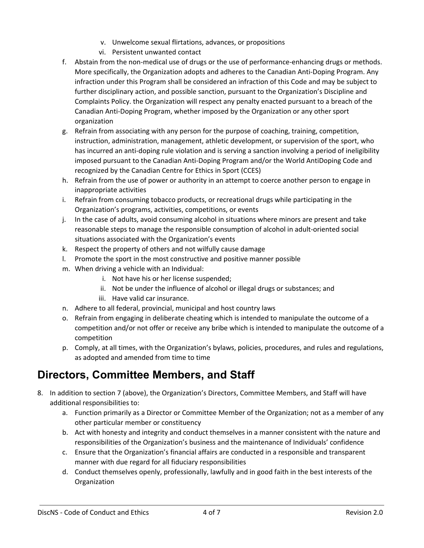- v. Unwelcome sexual flirtations, advances, or propositions
- vi. Persistent unwanted contact
- f. Abstain from the non-medical use of drugs or the use of performance-enhancing drugs or methods. More specifically, the Organization adopts and adheres to the Canadian Anti-Doping Program. Any infraction under this Program shall be considered an infraction of this Code and may be subject to further disciplinary action, and possible sanction, pursuant to the Organization's Discipline and Complaints Policy. the Organization will respect any penalty enacted pursuant to a breach of the Canadian Anti-Doping Program, whether imposed by the Organization or any other sport organization
- g. Refrain from associating with any person for the purpose of coaching, training, competition, instruction, administration, management, athletic development, or supervision of the sport, who has incurred an anti-doping rule violation and is serving a sanction involving a period of ineligibility imposed pursuant to the Canadian Anti-Doping Program and/or the World AntiDoping Code and recognized by the Canadian Centre for Ethics in Sport (CCES)
- h. Refrain from the use of power or authority in an attempt to coerce another person to engage in inappropriate activities
- i. Refrain from consuming tobacco products, or recreational drugs while participating in the Organization's programs, activities, competitions, or events
- j. In the case of adults, avoid consuming alcohol in situations where minors are present and take reasonable steps to manage the responsible consumption of alcohol in adult-oriented social situations associated with the Organization's events
- k. Respect the property of others and not wilfully cause damage
- l. Promote the sport in the most constructive and positive manner possible
- m. When driving a vehicle with an Individual:
	- i. Not have his or her license suspended;
	- ii. Not be under the influence of alcohol or illegal drugs or substances; and
	- iii. Have valid car insurance.
- n. Adhere to all federal, provincial, municipal and host country laws
- o. Refrain from engaging in deliberate cheating which is intended to manipulate the outcome of a competition and/or not offer or receive any bribe which is intended to manipulate the outcome of a competition
- p. Comply, at all times, with the Organization's bylaws, policies, procedures, and rules and regulations, as adopted and amended from time to time

## **Directors, Committee Members, and Staff**

- 8. In addition to section 7 (above), the Organization's Directors, Committee Members, and Staff will have additional responsibilities to:
	- a. Function primarily as a Director or Committee Member of the Organization; not as a member of any other particular member or constituency
	- b. Act with honesty and integrity and conduct themselves in a manner consistent with the nature and responsibilities of the Organization's business and the maintenance of Individuals' confidence
	- c. Ensure that the Organization's financial affairs are conducted in a responsible and transparent manner with due regard for all fiduciary responsibilities
	- d. Conduct themselves openly, professionally, lawfully and in good faith in the best interests of the **Organization**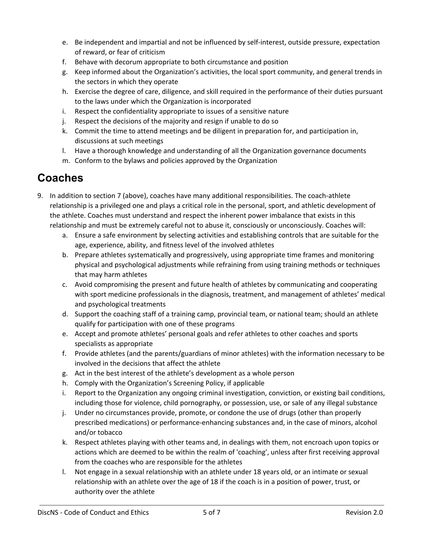- e. Be independent and impartial and not be influenced by self-interest, outside pressure, expectation of reward, or fear of criticism
- f. Behave with decorum appropriate to both circumstance and position
- g. Keep informed about the Organization's activities, the local sport community, and general trends in the sectors in which they operate
- h. Exercise the degree of care, diligence, and skill required in the performance of their duties pursuant to the laws under which the Organization is incorporated
- i. Respect the confidentiality appropriate to issues of a sensitive nature
- j. Respect the decisions of the majority and resign if unable to do so
- k. Commit the time to attend meetings and be diligent in preparation for, and participation in, discussions at such meetings
- l. Have a thorough knowledge and understanding of all the Organization governance documents
- m. Conform to the bylaws and policies approved by the Organization

## **Coaches**

- 9. In addition to section 7 (above), coaches have many additional responsibilities. The coach-athlete relationship is a privileged one and plays a critical role in the personal, sport, and athletic development of the athlete. Coaches must understand and respect the inherent power imbalance that exists in this relationship and must be extremely careful not to abuse it, consciously or unconsciously. Coaches will:
	- a. Ensure a safe environment by selecting activities and establishing controls that are suitable for the age, experience, ability, and fitness level of the involved athletes
	- b. Prepare athletes systematically and progressively, using appropriate time frames and monitoring physical and psychological adjustments while refraining from using training methods or techniques that may harm athletes
	- c. Avoid compromising the present and future health of athletes by communicating and cooperating with sport medicine professionals in the diagnosis, treatment, and management of athletes' medical and psychological treatments
	- d. Support the coaching staff of a training camp, provincial team, or national team; should an athlete qualify for participation with one of these programs
	- e. Accept and promote athletes' personal goals and refer athletes to other coaches and sports specialists as appropriate
	- f. Provide athletes (and the parents/guardians of minor athletes) with the information necessary to be involved in the decisions that affect the athlete
	- g. Act in the best interest of the athlete's development as a whole person
	- h. Comply with the Organization's Screening Policy, if applicable
	- i. Report to the Organization any ongoing criminal investigation, conviction, or existing bail conditions, including those for violence, child pornography, or possession, use, or sale of any illegal substance
	- j. Under no circumstances provide, promote, or condone the use of drugs (other than properly prescribed medications) or performance-enhancing substances and, in the case of minors, alcohol and/or tobacco
	- k. Respect athletes playing with other teams and, in dealings with them, not encroach upon topics or actions which are deemed to be within the realm of 'coaching', unless after first receiving approval from the coaches who are responsible for the athletes
	- l. Not engage in a sexual relationship with an athlete under 18 years old, or an intimate or sexual relationship with an athlete over the age of 18 if the coach is in a position of power, trust, or authority over the athlete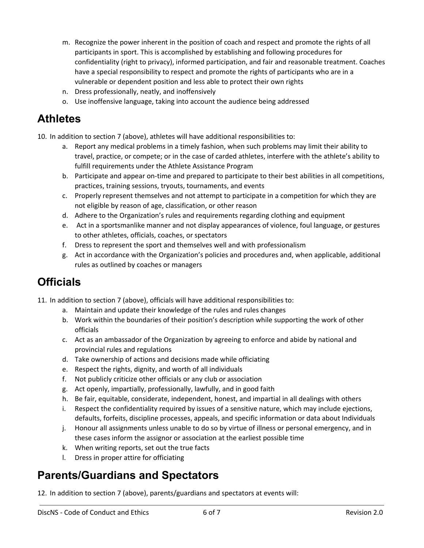- m. Recognize the power inherent in the position of coach and respect and promote the rights of all participants in sport. This is accomplished by establishing and following procedures for confidentiality (right to privacy), informed participation, and fair and reasonable treatment. Coaches have a special responsibility to respect and promote the rights of participants who are in a vulnerable or dependent position and less able to protect their own rights
- n. Dress professionally, neatly, and inoffensively
- o. Use inoffensive language, taking into account the audience being addressed

#### **Athletes**

10. In addition to section 7 (above), athletes will have additional responsibilities to:

- a. Report any medical problems in a timely fashion, when such problems may limit their ability to travel, practice, or compete; or in the case of carded athletes, interfere with the athlete's ability to fulfill requirements under the Athlete Assistance Program
- b. Participate and appear on-time and prepared to participate to their best abilities in all competitions, practices, training sessions, tryouts, tournaments, and events
- c. Properly represent themselves and not attempt to participate in a competition for which they are not eligible by reason of age, classification, or other reason
- d. Adhere to the Organization's rules and requirements regarding clothing and equipment
- e. Act in a sportsmanlike manner and not display appearances of violence, foul language, or gestures to other athletes, officials, coaches, or spectators
- f. Dress to represent the sport and themselves well and with professionalism
- g. Act in accordance with the Organization's policies and procedures and, when applicable, additional rules as outlined by coaches or managers

## **Officials**

- 11. In addition to section 7 (above), officials will have additional responsibilities to:
	- a. Maintain and update their knowledge of the rules and rules changes
	- b. Work within the boundaries of their position's description while supporting the work of other officials
	- c. Act as an ambassador of the Organization by agreeing to enforce and abide by national and provincial rules and regulations
	- d. Take ownership of actions and decisions made while officiating
	- e. Respect the rights, dignity, and worth of all individuals
	- f. Not publicly criticize other officials or any club or association
	- g. Act openly, impartially, professionally, lawfully, and in good faith
	- h. Be fair, equitable, considerate, independent, honest, and impartial in all dealings with others
	- i. Respect the confidentiality required by issues of a sensitive nature, which may include ejections, defaults, forfeits, discipline processes, appeals, and specific information or data about Individuals
	- j. Honour all assignments unless unable to do so by virtue of illness or personal emergency, and in these cases inform the assignor or association at the earliest possible time
	- k. When writing reports, set out the true facts
	- l. Dress in proper attire for officiating

## **Parents/Guardians and Spectators**

12. In addition to section 7 (above), parents/guardians and spectators at events will: